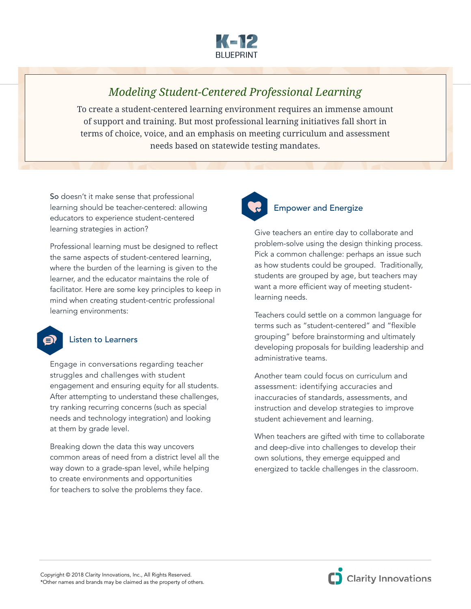

## *Modeling Student-Centered Professional Learning*

To create a student-centered learning environment requires an immense amount of support and training. But most professional learning initiatives fall short in terms of choice, voice, and an emphasis on meeting curriculum and assessment needs based on statewide testing mandates.

So doesn't it make sense that professional learning should be teacher-centered: allowing educators to experience student-centered learning strategies in action?

Professional learning must be designed to reflect the same aspects of student-centered learning, where the burden of the learning is given to the learner, and the educator maintains the role of facilitator. Here are some key principles to keep in mind when creating student-centric professional learning environments:

## Listen to Learners

é)

Engage in conversations regarding teacher struggles and challenges with student engagement and ensuring equity for all students. After attempting to understand these challenges, try ranking recurring concerns (such as special needs and technology integration) and looking at them by grade level.

Breaking down the data this way uncovers common areas of need from a district level all the way down to a grade-span level, while helping to create environments and opportunities for teachers to solve the problems they face.



## Empower and Energize

Give teachers an entire day to collaborate and problem-solve using the design thinking process. Pick a common challenge: perhaps an issue such as how students could be grouped. Traditionally, students are grouped by age, but teachers may want a more efficient way of meeting studentlearning needs.

Teachers could settle on a common language for terms such as "student-centered" and "flexible grouping" before brainstorming and ultimately developing proposals for building leadership and administrative teams.

Another team could focus on curriculum and assessment: identifying accuracies and inaccuracies of standards, assessments, and instruction and develop strategies to improve student achievement and learning.

When teachers are gifted with time to collaborate and deep-dive into challenges to develop their own solutions, they emerge equipped and energized to tackle challenges in the classroom.